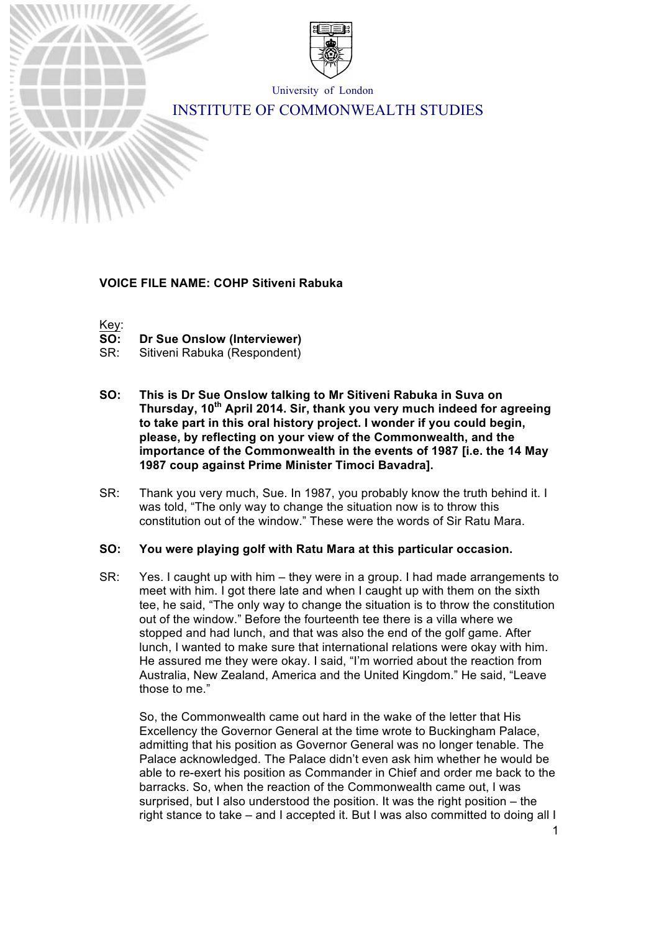

University of London

# INSTITUTE OF COMMONWEALTH STUDIES

# **VOICE FILE NAME: COHP Sitiveni Rabuka**

Key:

- **SO: Dr Sue Onslow (Interviewer)**
- SR: Sitiveni Rabuka (Respondent)
- **SO: This is Dr Sue Onslow talking to Mr Sitiveni Rabuka in Suva on Thursday, 10th April 2014. Sir, thank you very much indeed for agreeing to take part in this oral history project. I wonder if you could begin, please, by reflecting on your view of the Commonwealth, and the importance of the Commonwealth in the events of 1987 [i.e. the 14 May 1987 coup against Prime Minister Timoci Bavadra].**
- SR: Thank you very much, Sue. In 1987, you probably know the truth behind it. I was told, "The only way to change the situation now is to throw this constitution out of the window." These were the words of Sir Ratu Mara.

#### **SO: You were playing golf with Ratu Mara at this particular occasion.**

SR: Yes. I caught up with him – they were in a group. I had made arrangements to meet with him. I got there late and when I caught up with them on the sixth tee, he said, "The only way to change the situation is to throw the constitution out of the window." Before the fourteenth tee there is a villa where we stopped and had lunch, and that was also the end of the golf game. After lunch, I wanted to make sure that international relations were okay with him. He assured me they were okay. I said, "I'm worried about the reaction from Australia, New Zealand, America and the United Kingdom." He said, "Leave those to me."

So, the Commonwealth came out hard in the wake of the letter that His Excellency the Governor General at the time wrote to Buckingham Palace, admitting that his position as Governor General was no longer tenable. The Palace acknowledged. The Palace didn't even ask him whether he would be able to re-exert his position as Commander in Chief and order me back to the barracks. So, when the reaction of the Commonwealth came out, I was surprised, but I also understood the position. It was the right position – the right stance to take – and I accepted it. But I was also committed to doing all I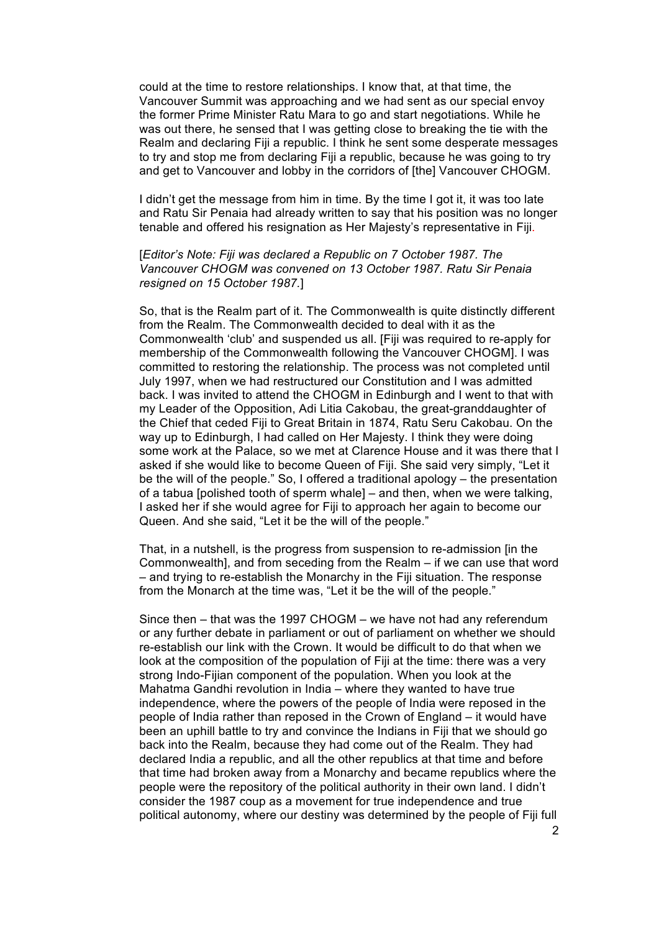could at the time to restore relationships. I know that, at that time, the Vancouver Summit was approaching and we had sent as our special envoy the former Prime Minister Ratu Mara to go and start negotiations. While he was out there, he sensed that I was getting close to breaking the tie with the Realm and declaring Fiji a republic. I think he sent some desperate messages to try and stop me from declaring Fiji a republic, because he was going to try and get to Vancouver and lobby in the corridors of [the] Vancouver CHOGM.

I didn't get the message from him in time. By the time I got it, it was too late and Ratu Sir Penaia had already written to say that his position was no longer tenable and offered his resignation as Her Majesty's representative in Fiji.

#### [*Editor's Note: Fiji was declared a Republic on 7 October 1987. The Vancouver CHOGM was convened on 13 October 1987. Ratu Sir Penaia resigned on 15 October 1987.*]

So, that is the Realm part of it. The Commonwealth is quite distinctly different from the Realm. The Commonwealth decided to deal with it as the Commonwealth 'club' and suspended us all. [Fiji was required to re-apply for membership of the Commonwealth following the Vancouver CHOGM]. I was committed to restoring the relationship. The process was not completed until July 1997, when we had restructured our Constitution and I was admitted back. I was invited to attend the CHOGM in Edinburgh and I went to that with my Leader of the Opposition, Adi Litia Cakobau, the great-granddaughter of the Chief that ceded Fiji to Great Britain in 1874, Ratu Seru Cakobau. On the way up to Edinburgh, I had called on Her Majesty. I think they were doing some work at the Palace, so we met at Clarence House and it was there that I asked if she would like to become Queen of Fiji. She said very simply, "Let it be the will of the people." So, I offered a traditional apology – the presentation of a tabua [polished tooth of sperm whale] – and then, when we were talking, I asked her if she would agree for Fiji to approach her again to become our Queen. And she said, "Let it be the will of the people."

That, in a nutshell, is the progress from suspension to re-admission [in the Commonwealth], and from seceding from the Realm – if we can use that word – and trying to re-establish the Monarchy in the Fiji situation. The response from the Monarch at the time was, "Let it be the will of the people."

Since then – that was the 1997 CHOGM – we have not had any referendum or any further debate in parliament or out of parliament on whether we should re-establish our link with the Crown. It would be difficult to do that when we look at the composition of the population of Fiji at the time: there was a very strong Indo-Fijian component of the population. When you look at the Mahatma Gandhi revolution in India – where they wanted to have true independence, where the powers of the people of India were reposed in the people of India rather than reposed in the Crown of England – it would have been an uphill battle to try and convince the Indians in Fiji that we should go back into the Realm, because they had come out of the Realm. They had declared India a republic, and all the other republics at that time and before that time had broken away from a Monarchy and became republics where the people were the repository of the political authority in their own land. I didn't consider the 1987 coup as a movement for true independence and true political autonomy, where our destiny was determined by the people of Fiji full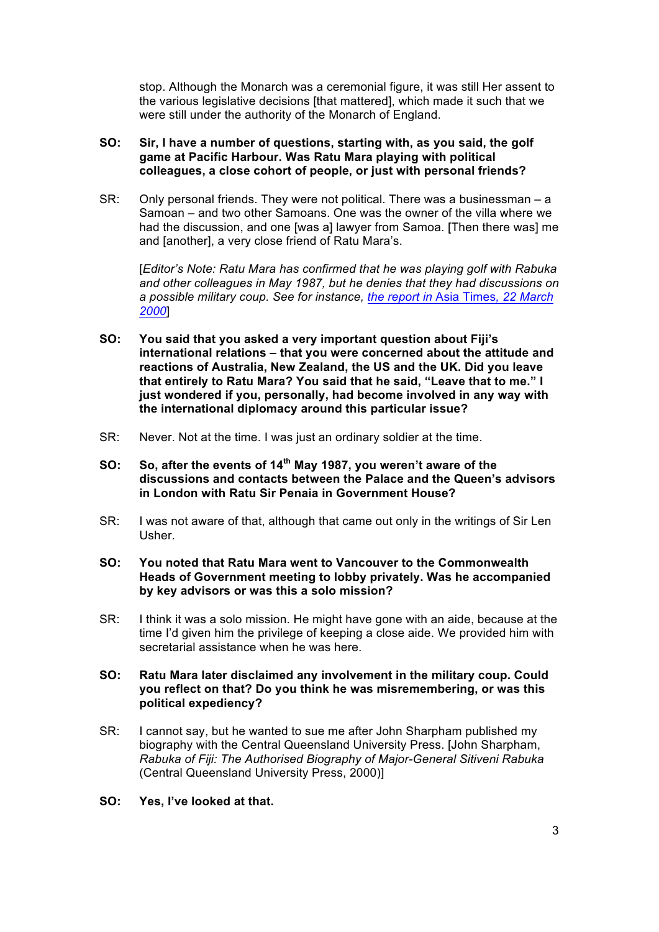stop. Although the Monarch was a ceremonial figure, it was still Her assent to the various legislative decisions [that mattered], which made it such that we were still under the authority of the Monarch of England.

#### **SO: Sir, I have a number of questions, starting with, as you said, the golf game at Pacific Harbour. Was Ratu Mara playing with political colleagues, a close cohort of people, or just with personal friends?**

SR: Only personal friends. They were not political. There was a businessman – a Samoan – and two other Samoans. One was the owner of the villa where we had the discussion, and one [was a] lawyer from Samoa. [Then there was] me and [another], a very close friend of Ratu Mara's.

[*Editor's Note: Ratu Mara has confirmed that he was playing golf with Rabuka and other colleagues in May 1987, but he denies that they had discussions on a possible military coup. See for instance, the report in* Asia Times*, 22 March 2000*]

- **SO: You said that you asked a very important question about Fiji's international relations – that you were concerned about the attitude and reactions of Australia, New Zealand, the US and the UK. Did you leave that entirely to Ratu Mara? You said that he said, "Leave that to me." I just wondered if you, personally, had become involved in any way with the international diplomacy around this particular issue?**
- SR: Never. Not at the time. I was just an ordinary soldier at the time.
- **SO: So, after the events of 14th May 1987, you weren't aware of the discussions and contacts between the Palace and the Queen's advisors in London with Ratu Sir Penaia in Government House?**
- SR: I was not aware of that, although that came out only in the writings of Sir Len Usher.
- **SO: You noted that Ratu Mara went to Vancouver to the Commonwealth Heads of Government meeting to lobby privately. Was he accompanied by key advisors or was this a solo mission?**
- SR: I think it was a solo mission. He might have gone with an aide, because at the time I'd given him the privilege of keeping a close aide. We provided him with secretarial assistance when he was here.
- **SO: Ratu Mara later disclaimed any involvement in the military coup. Could you reflect on that? Do you think he was misremembering, or was this political expediency?**
- SR: I cannot say, but he wanted to sue me after John Sharpham published my biography with the Central Queensland University Press. [John Sharpham, *Rabuka of Fiji: The Authorised Biography of Major-General Sitiveni Rabuka*  (Central Queensland University Press, 2000)]
- **SO: Yes, I've looked at that.**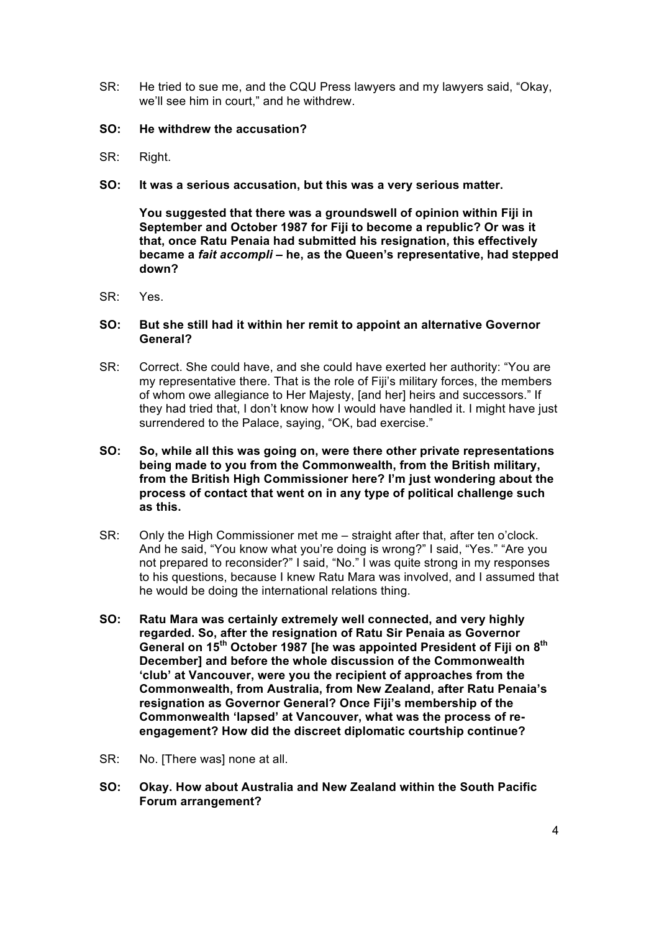- SR: He tried to sue me, and the CQU Press lawyers and my lawyers said, "Okay, we'll see him in court," and he withdrew.
- **SO: He withdrew the accusation?**
- SR: Right.
- **SO: It was a serious accusation, but this was a very serious matter.**

**You suggested that there was a groundswell of opinion within Fiji in September and October 1987 for Fiji to become a republic? Or was it that, once Ratu Penaia had submitted his resignation, this effectively became a** *fait accompli* **– he, as the Queen's representative, had stepped down?**

SR: Yes.

#### **SO: But she still had it within her remit to appoint an alternative Governor General?**

- SR: Correct. She could have, and she could have exerted her authority: "You are my representative there. That is the role of Fiji's military forces, the members of whom owe allegiance to Her Majesty, [and her] heirs and successors." If they had tried that, I don't know how I would have handled it. I might have just surrendered to the Palace, saying, "OK, bad exercise."
- **SO: So, while all this was going on, were there other private representations being made to you from the Commonwealth, from the British military, from the British High Commissioner here? I'm just wondering about the process of contact that went on in any type of political challenge such as this.**
- SR: Only the High Commissioner met me straight after that, after ten o'clock. And he said, "You know what you're doing is wrong?" I said, "Yes." "Are you not prepared to reconsider?" I said, "No." I was quite strong in my responses to his questions, because I knew Ratu Mara was involved, and I assumed that he would be doing the international relations thing.
- **SO: Ratu Mara was certainly extremely well connected, and very highly regarded. So, after the resignation of Ratu Sir Penaia as Governor General on 15th October 1987 [he was appointed President of Fiji on 8th December] and before the whole discussion of the Commonwealth 'club' at Vancouver, were you the recipient of approaches from the Commonwealth, from Australia, from New Zealand, after Ratu Penaia's resignation as Governor General? Once Fiji's membership of the Commonwealth 'lapsed' at Vancouver, what was the process of reengagement? How did the discreet diplomatic courtship continue?**
- SR: No. [There was] none at all.
- **SO: Okay. How about Australia and New Zealand within the South Pacific Forum arrangement?**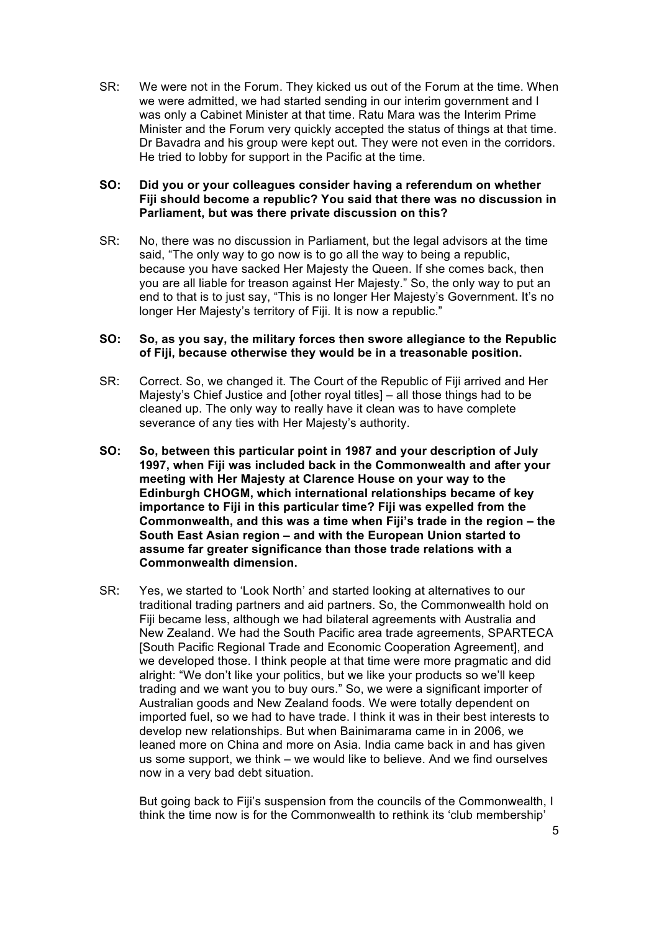SR: We were not in the Forum. They kicked us out of the Forum at the time. When we were admitted, we had started sending in our interim government and I was only a Cabinet Minister at that time. Ratu Mara was the Interim Prime Minister and the Forum very quickly accepted the status of things at that time. Dr Bavadra and his group were kept out. They were not even in the corridors. He tried to lobby for support in the Pacific at the time.

#### **SO: Did you or your colleagues consider having a referendum on whether Fiji should become a republic? You said that there was no discussion in Parliament, but was there private discussion on this?**

SR: No, there was no discussion in Parliament, but the legal advisors at the time said, "The only way to go now is to go all the way to being a republic, because you have sacked Her Majesty the Queen. If she comes back, then you are all liable for treason against Her Majesty." So, the only way to put an end to that is to just say, "This is no longer Her Majesty's Government. It's no longer Her Majesty's territory of Fiji. It is now a republic."

#### **SO: So, as you say, the military forces then swore allegiance to the Republic of Fiji, because otherwise they would be in a treasonable position.**

- SR: Correct. So, we changed it. The Court of the Republic of Fiji arrived and Her Majesty's Chief Justice and [other royal titles] – all those things had to be cleaned up. The only way to really have it clean was to have complete severance of any ties with Her Majesty's authority.
- **SO: So, between this particular point in 1987 and your description of July 1997, when Fiji was included back in the Commonwealth and after your meeting with Her Majesty at Clarence House on your way to the Edinburgh CHOGM, which international relationships became of key importance to Fiji in this particular time? Fiji was expelled from the Commonwealth, and this was a time when Fiji's trade in the region – the South East Asian region – and with the European Union started to assume far greater significance than those trade relations with a Commonwealth dimension.**
- SR: Yes, we started to 'Look North' and started looking at alternatives to our traditional trading partners and aid partners. So, the Commonwealth hold on Fiji became less, although we had bilateral agreements with Australia and New Zealand. We had the South Pacific area trade agreements, SPARTECA [South Pacific Regional Trade and Economic Cooperation Agreement], and we developed those. I think people at that time were more pragmatic and did alright: "We don't like your politics, but we like your products so we'll keep trading and we want you to buy ours." So, we were a significant importer of Australian goods and New Zealand foods. We were totally dependent on imported fuel, so we had to have trade. I think it was in their best interests to develop new relationships. But when Bainimarama came in in 2006, we leaned more on China and more on Asia. India came back in and has given us some support, we think – we would like to believe. And we find ourselves now in a very bad debt situation.

But going back to Fiji's suspension from the councils of the Commonwealth, I think the time now is for the Commonwealth to rethink its 'club membership'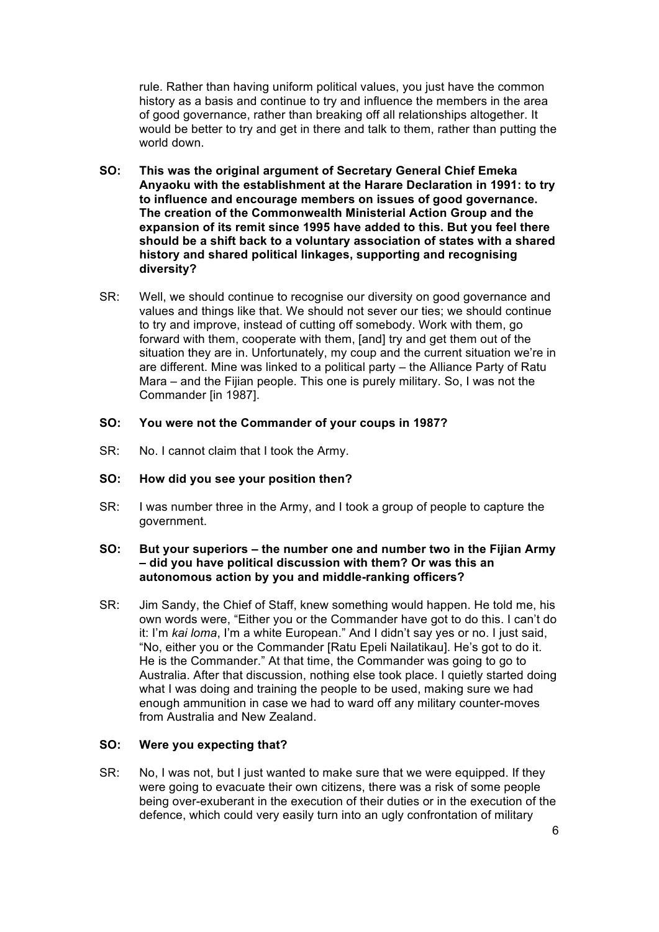rule. Rather than having uniform political values, you just have the common history as a basis and continue to try and influence the members in the area of good governance, rather than breaking off all relationships altogether. It would be better to try and get in there and talk to them, rather than putting the world down.

- **SO: This was the original argument of Secretary General Chief Emeka Anyaoku with the establishment at the Harare Declaration in 1991: to try to influence and encourage members on issues of good governance. The creation of the Commonwealth Ministerial Action Group and the expansion of its remit since 1995 have added to this. But you feel there should be a shift back to a voluntary association of states with a shared history and shared political linkages, supporting and recognising diversity?**
- SR: Well, we should continue to recognise our diversity on good governance and values and things like that. We should not sever our ties; we should continue to try and improve, instead of cutting off somebody. Work with them, go forward with them, cooperate with them, [and] try and get them out of the situation they are in. Unfortunately, my coup and the current situation we're in are different. Mine was linked to a political party – the Alliance Party of Ratu Mara – and the Fijian people. This one is purely military. So, I was not the Commander [in 1987].

# **SO: You were not the Commander of your coups in 1987?**

SR: No. I cannot claim that I took the Army.

#### **SO: How did you see your position then?**

SR: I was number three in the Army, and I took a group of people to capture the government.

#### **SO: But your superiors – the number one and number two in the Fijian Army – did you have political discussion with them? Or was this an autonomous action by you and middle-ranking officers?**

SR: Jim Sandy, the Chief of Staff, knew something would happen. He told me, his own words were, "Either you or the Commander have got to do this. I can't do it: I'm *kai loma*, I'm a white European." And I didn't say yes or no. I just said, "No, either you or the Commander [Ratu Epeli Nailatikau]. He's got to do it. He is the Commander." At that time, the Commander was going to go to Australia. After that discussion, nothing else took place. I quietly started doing what I was doing and training the people to be used, making sure we had enough ammunition in case we had to ward off any military counter-moves from Australia and New Zealand.

#### **SO: Were you expecting that?**

SR: No, I was not, but I just wanted to make sure that we were equipped. If they were going to evacuate their own citizens, there was a risk of some people being over-exuberant in the execution of their duties or in the execution of the defence, which could very easily turn into an ugly confrontation of military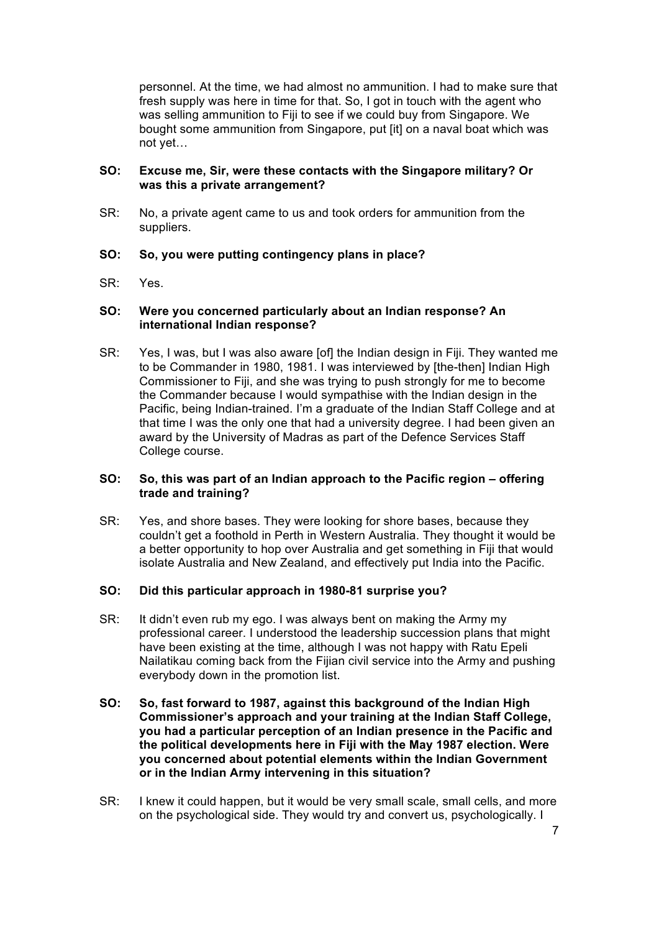personnel. At the time, we had almost no ammunition. I had to make sure that fresh supply was here in time for that. So, I got in touch with the agent who was selling ammunition to Fiji to see if we could buy from Singapore. We bought some ammunition from Singapore, put [it] on a naval boat which was not yet…

# **SO: Excuse me, Sir, were these contacts with the Singapore military? Or was this a private arrangement?**

SR: No, a private agent came to us and took orders for ammunition from the suppliers.

# **SO: So, you were putting contingency plans in place?**

SR: Yes.

#### **SO: Were you concerned particularly about an Indian response? An international Indian response?**

SR: Yes, I was, but I was also aware [of] the Indian design in Fiji. They wanted me to be Commander in 1980, 1981. I was interviewed by [the-then] Indian High Commissioner to Fiji, and she was trying to push strongly for me to become the Commander because I would sympathise with the Indian design in the Pacific, being Indian-trained. I'm a graduate of the Indian Staff College and at that time I was the only one that had a university degree. I had been given an award by the University of Madras as part of the Defence Services Staff College course.

# **SO: So, this was part of an Indian approach to the Pacific region – offering trade and training?**

SR: Yes, and shore bases. They were looking for shore bases, because they couldn't get a foothold in Perth in Western Australia. They thought it would be a better opportunity to hop over Australia and get something in Fiji that would isolate Australia and New Zealand, and effectively put India into the Pacific.

#### **SO: Did this particular approach in 1980-81 surprise you?**

- SR: It didn't even rub my ego. I was always bent on making the Army my professional career. I understood the leadership succession plans that might have been existing at the time, although I was not happy with Ratu Epeli Nailatikau coming back from the Fijian civil service into the Army and pushing everybody down in the promotion list.
- **SO: So, fast forward to 1987, against this background of the Indian High Commissioner's approach and your training at the Indian Staff College, you had a particular perception of an Indian presence in the Pacific and the political developments here in Fiji with the May 1987 election. Were you concerned about potential elements within the Indian Government or in the Indian Army intervening in this situation?**
- SR: I knew it could happen, but it would be very small scale, small cells, and more on the psychological side. They would try and convert us, psychologically. I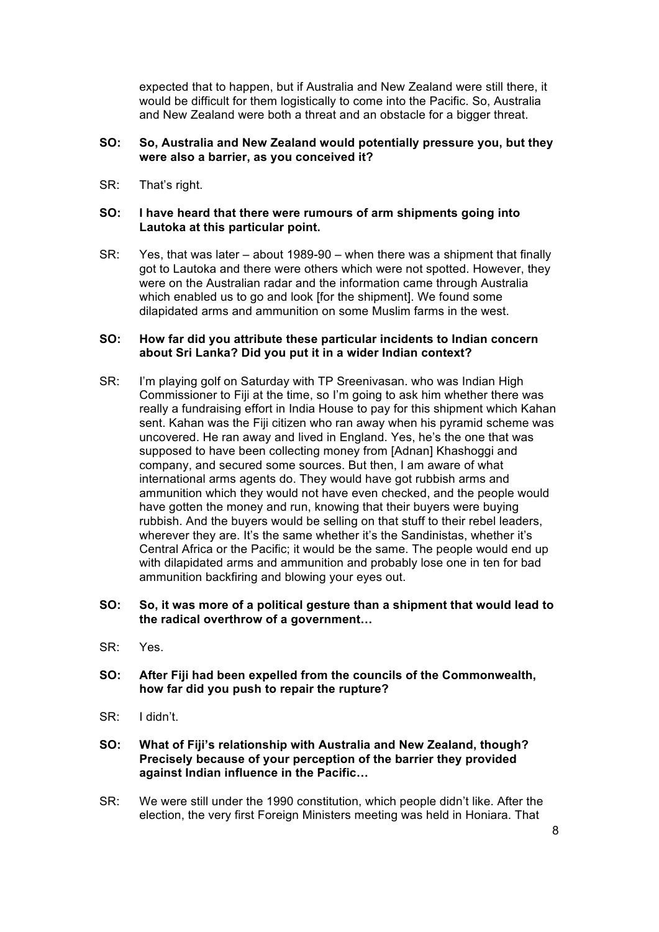expected that to happen, but if Australia and New Zealand were still there, it would be difficult for them logistically to come into the Pacific. So, Australia and New Zealand were both a threat and an obstacle for a bigger threat.

# **SO: So, Australia and New Zealand would potentially pressure you, but they were also a barrier, as you conceived it?**

SR: That's right.

# **SO: I have heard that there were rumours of arm shipments going into Lautoka at this particular point.**

SR: Yes, that was later – about 1989-90 – when there was a shipment that finally got to Lautoka and there were others which were not spotted. However, they were on the Australian radar and the information came through Australia which enabled us to go and look [for the shipment]. We found some dilapidated arms and ammunition on some Muslim farms in the west.

#### **SO: How far did you attribute these particular incidents to Indian concern about Sri Lanka? Did you put it in a wider Indian context?**

SR: I'm playing golf on Saturday with TP Sreenivasan. who was Indian High Commissioner to Fiji at the time, so I'm going to ask him whether there was really a fundraising effort in India House to pay for this shipment which Kahan sent. Kahan was the Fiji citizen who ran away when his pyramid scheme was uncovered. He ran away and lived in England. Yes, he's the one that was supposed to have been collecting money from [Adnan] Khashoggi and company, and secured some sources. But then, I am aware of what international arms agents do. They would have got rubbish arms and ammunition which they would not have even checked, and the people would have gotten the money and run, knowing that their buyers were buying rubbish. And the buyers would be selling on that stuff to their rebel leaders, wherever they are. It's the same whether it's the Sandinistas, whether it's Central Africa or the Pacific; it would be the same. The people would end up with dilapidated arms and ammunition and probably lose one in ten for bad ammunition backfiring and blowing your eyes out.

# **SO: So, it was more of a political gesture than a shipment that would lead to the radical overthrow of a government…**

- SR: Yes.
- **SO: After Fiji had been expelled from the councils of the Commonwealth, how far did you push to repair the rupture?**
- SR: I didn't.
- **SO: What of Fiji's relationship with Australia and New Zealand, though? Precisely because of your perception of the barrier they provided against Indian influence in the Pacific…**
- SR: We were still under the 1990 constitution, which people didn't like. After the election, the very first Foreign Ministers meeting was held in Honiara. That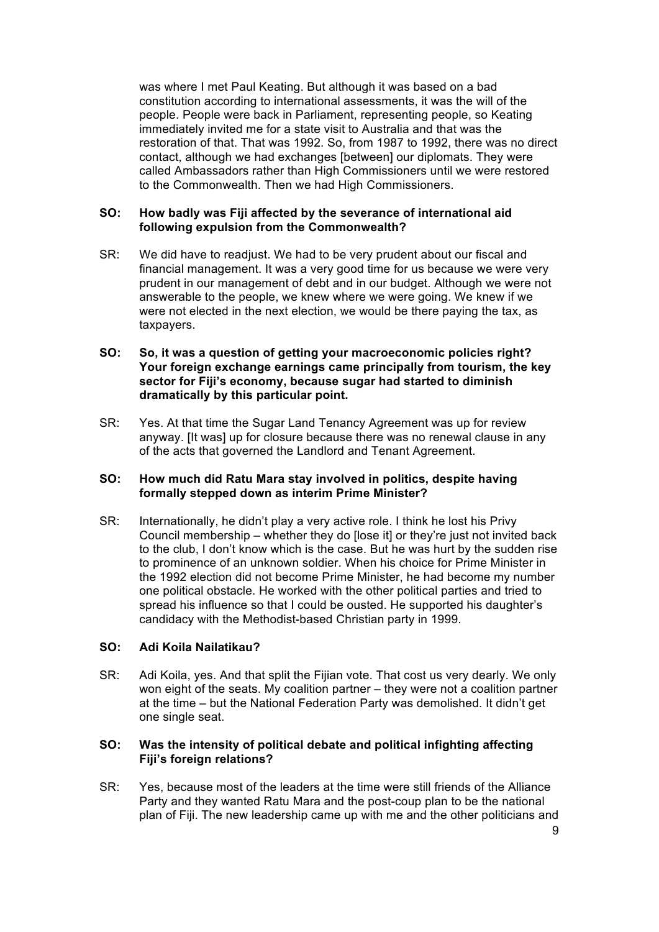was where I met Paul Keating. But although it was based on a bad constitution according to international assessments, it was the will of the people. People were back in Parliament, representing people, so Keating immediately invited me for a state visit to Australia and that was the restoration of that. That was 1992. So, from 1987 to 1992, there was no direct contact, although we had exchanges [between] our diplomats. They were called Ambassadors rather than High Commissioners until we were restored to the Commonwealth. Then we had High Commissioners.

#### **SO: How badly was Fiji affected by the severance of international aid following expulsion from the Commonwealth?**

SR: We did have to readjust. We had to be very prudent about our fiscal and financial management. It was a very good time for us because we were very prudent in our management of debt and in our budget. Although we were not answerable to the people, we knew where we were going. We knew if we were not elected in the next election, we would be there paying the tax, as taxpayers.

# **SO: So, it was a question of getting your macroeconomic policies right? Your foreign exchange earnings came principally from tourism, the key sector for Fiji's economy, because sugar had started to diminish dramatically by this particular point.**

SR: Yes. At that time the Sugar Land Tenancy Agreement was up for review anyway. [It was] up for closure because there was no renewal clause in any of the acts that governed the Landlord and Tenant Agreement.

# **SO: How much did Ratu Mara stay involved in politics, despite having formally stepped down as interim Prime Minister?**

SR: Internationally, he didn't play a very active role. I think he lost his Privy Council membership – whether they do [lose it] or they're just not invited back to the club, I don't know which is the case. But he was hurt by the sudden rise to prominence of an unknown soldier. When his choice for Prime Minister in the 1992 election did not become Prime Minister, he had become my number one political obstacle. He worked with the other political parties and tried to spread his influence so that I could be ousted. He supported his daughter's candidacy with the Methodist-based Christian party in 1999.

# **SO: Adi Koila Nailatikau?**

SR: Adi Koila, yes. And that split the Fijian vote. That cost us very dearly. We only won eight of the seats. My coalition partner – they were not a coalition partner at the time – but the National Federation Party was demolished. It didn't get one single seat.

#### **SO: Was the intensity of political debate and political infighting affecting Fiji's foreign relations?**

SR: Yes, because most of the leaders at the time were still friends of the Alliance Party and they wanted Ratu Mara and the post-coup plan to be the national plan of Fiji. The new leadership came up with me and the other politicians and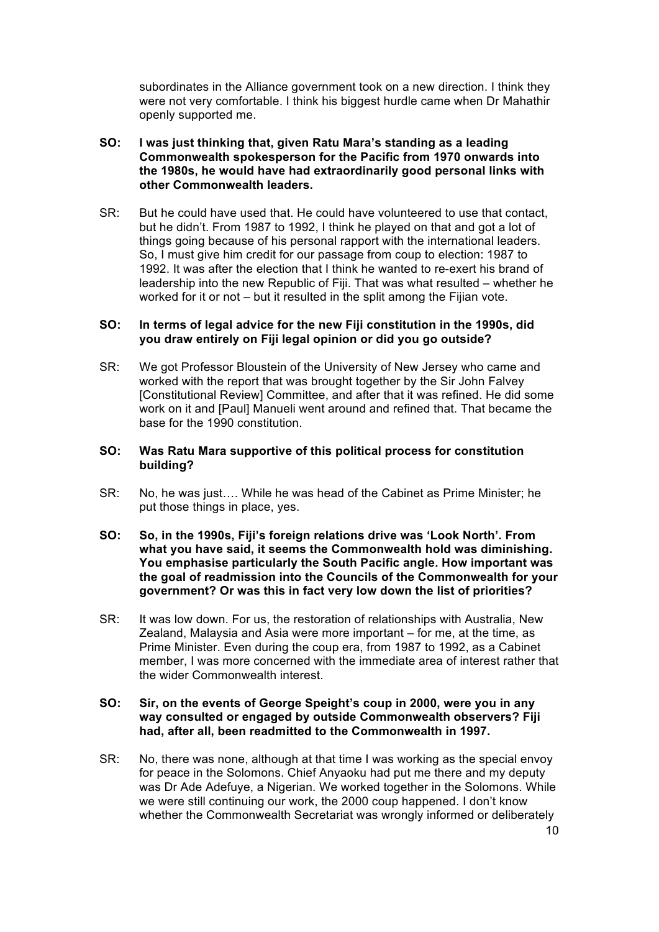subordinates in the Alliance government took on a new direction. I think they were not very comfortable. I think his biggest hurdle came when Dr Mahathir openly supported me.

# **SO: I was just thinking that, given Ratu Mara's standing as a leading Commonwealth spokesperson for the Pacific from 1970 onwards into the 1980s, he would have had extraordinarily good personal links with other Commonwealth leaders.**

SR: But he could have used that. He could have volunteered to use that contact, but he didn't. From 1987 to 1992, I think he played on that and got a lot of things going because of his personal rapport with the international leaders. So, I must give him credit for our passage from coup to election: 1987 to 1992. It was after the election that I think he wanted to re-exert his brand of leadership into the new Republic of Fiji. That was what resulted – whether he worked for it or not – but it resulted in the split among the Fijian vote.

# **SO: In terms of legal advice for the new Fiji constitution in the 1990s, did you draw entirely on Fiji legal opinion or did you go outside?**

SR: We got Professor Bloustein of the University of New Jersey who came and worked with the report that was brought together by the Sir John Falvey [Constitutional Review] Committee, and after that it was refined. He did some work on it and [Paul] Manueli went around and refined that. That became the base for the 1990 constitution.

# **SO: Was Ratu Mara supportive of this political process for constitution building?**

- SR: No, he was just…. While he was head of the Cabinet as Prime Minister; he put those things in place, yes.
- **SO: So, in the 1990s, Fiji's foreign relations drive was 'Look North'. From what you have said, it seems the Commonwealth hold was diminishing. You emphasise particularly the South Pacific angle. How important was the goal of readmission into the Councils of the Commonwealth for your government? Or was this in fact very low down the list of priorities?**
- SR: It was low down. For us, the restoration of relationships with Australia, New Zealand, Malaysia and Asia were more important – for me, at the time, as Prime Minister. Even during the coup era, from 1987 to 1992, as a Cabinet member, I was more concerned with the immediate area of interest rather that the wider Commonwealth interest.

#### **SO: Sir, on the events of George Speight's coup in 2000, were you in any way consulted or engaged by outside Commonwealth observers? Fiji had, after all, been readmitted to the Commonwealth in 1997.**

SR: No, there was none, although at that time I was working as the special envoy for peace in the Solomons. Chief Anyaoku had put me there and my deputy was Dr Ade Adefuye, a Nigerian. We worked together in the Solomons. While we were still continuing our work, the 2000 coup happened. I don't know whether the Commonwealth Secretariat was wrongly informed or deliberately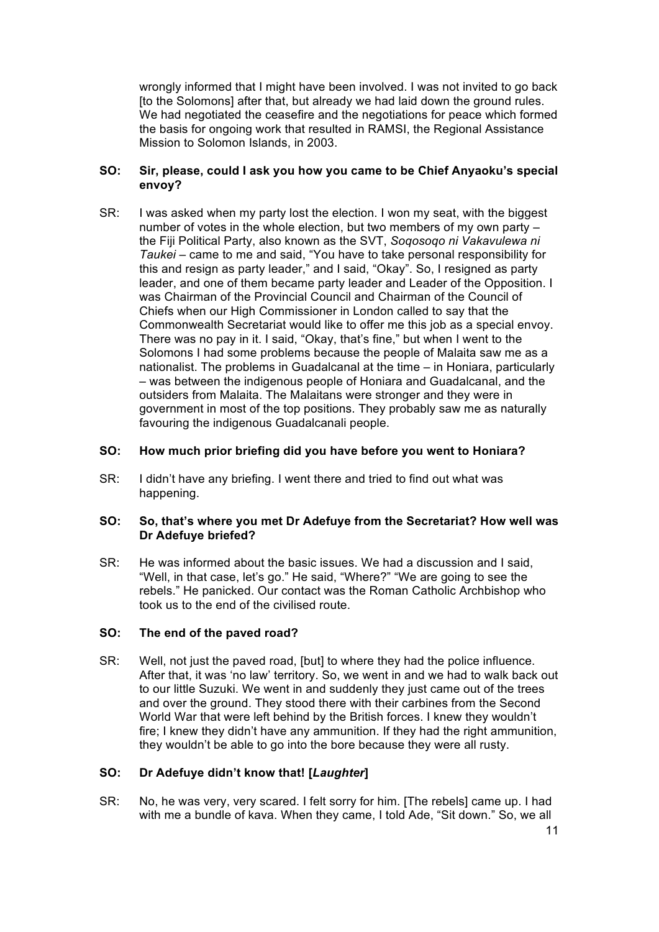wrongly informed that I might have been involved. I was not invited to go back [to the Solomons] after that, but already we had laid down the ground rules. We had negotiated the ceasefire and the negotiations for peace which formed the basis for ongoing work that resulted in RAMSI, the Regional Assistance Mission to Solomon Islands, in 2003.

# **SO: Sir, please, could I ask you how you came to be Chief Anyaoku's special envoy?**

SR: I was asked when my party lost the election. I won my seat, with the biggest number of votes in the whole election, but two members of my own party – the Fiji Political Party, also known as the SVT, *Soqosoqo ni Vakavulewa ni Taukei* – came to me and said, "You have to take personal responsibility for this and resign as party leader," and I said, "Okay". So, I resigned as party leader, and one of them became party leader and Leader of the Opposition. I was Chairman of the Provincial Council and Chairman of the Council of Chiefs when our High Commissioner in London called to say that the Commonwealth Secretariat would like to offer me this job as a special envoy. There was no pay in it. I said, "Okay, that's fine," but when I went to the Solomons I had some problems because the people of Malaita saw me as a nationalist. The problems in Guadalcanal at the time – in Honiara, particularly – was between the indigenous people of Honiara and Guadalcanal, and the outsiders from Malaita. The Malaitans were stronger and they were in government in most of the top positions. They probably saw me as naturally favouring the indigenous Guadalcanali people.

# **SO: How much prior briefing did you have before you went to Honiara?**

SR: I didn't have any briefing. I went there and tried to find out what was happening.

# **SO: So, that's where you met Dr Adefuye from the Secretariat? How well was Dr Adefuye briefed?**

SR: He was informed about the basic issues. We had a discussion and I said, "Well, in that case, let's go." He said, "Where?" "We are going to see the rebels." He panicked. Our contact was the Roman Catholic Archbishop who took us to the end of the civilised route.

#### **SO: The end of the paved road?**

SR: Well, not just the paved road, [but] to where they had the police influence. After that, it was 'no law' territory. So, we went in and we had to walk back out to our little Suzuki. We went in and suddenly they just came out of the trees and over the ground. They stood there with their carbines from the Second World War that were left behind by the British forces. I knew they wouldn't fire; I knew they didn't have any ammunition. If they had the right ammunition, they wouldn't be able to go into the bore because they were all rusty.

# **SO: Dr Adefuye didn't know that! [***Laughter***]**

SR: No, he was very, very scared. I felt sorry for him. [The rebels] came up. I had with me a bundle of kava. When they came, I told Ade, "Sit down." So, we all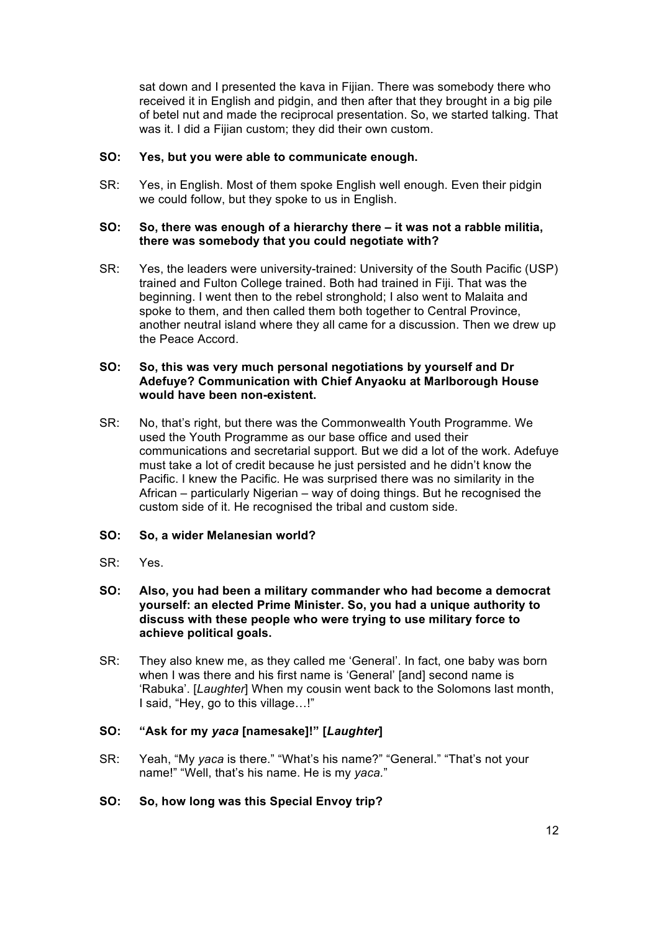sat down and I presented the kava in Fijian. There was somebody there who received it in English and pidgin, and then after that they brought in a big pile of betel nut and made the reciprocal presentation. So, we started talking. That was it. I did a Fijian custom; they did their own custom.

# **SO: Yes, but you were able to communicate enough.**

SR: Yes, in English. Most of them spoke English well enough. Even their pidgin we could follow, but they spoke to us in English.

#### **SO: So, there was enough of a hierarchy there – it was not a rabble militia, there was somebody that you could negotiate with?**

SR: Yes, the leaders were university-trained: University of the South Pacific (USP) trained and Fulton College trained. Both had trained in Fiji. That was the beginning. I went then to the rebel stronghold; I also went to Malaita and spoke to them, and then called them both together to Central Province, another neutral island where they all came for a discussion. Then we drew up the Peace Accord.

# **SO: So, this was very much personal negotiations by yourself and Dr Adefuye? Communication with Chief Anyaoku at Marlborough House would have been non-existent.**

- SR: No, that's right, but there was the Commonwealth Youth Programme. We used the Youth Programme as our base office and used their communications and secretarial support. But we did a lot of the work. Adefuye must take a lot of credit because he just persisted and he didn't know the Pacific. I knew the Pacific. He was surprised there was no similarity in the African – particularly Nigerian – way of doing things. But he recognised the custom side of it. He recognised the tribal and custom side.
- **SO: So, a wider Melanesian world?**
- SR: Yes.
- **SO: Also, you had been a military commander who had become a democrat yourself: an elected Prime Minister. So, you had a unique authority to discuss with these people who were trying to use military force to achieve political goals.**
- SR: They also knew me, as they called me 'General'. In fact, one baby was born when I was there and his first name is 'General' [and] second name is 'Rabuka'. [*Laughter*] When my cousin went back to the Solomons last month, I said, "Hey, go to this village…!"

# **SO: "Ask for my** *yaca* **[namesake]!" [***Laughter***]**

SR: Yeah, "My *yaca* is there." "What's his name?" "General." "That's not your name!" "Well, that's his name. He is my *yaca.*"

# **SO: So, how long was this Special Envoy trip?**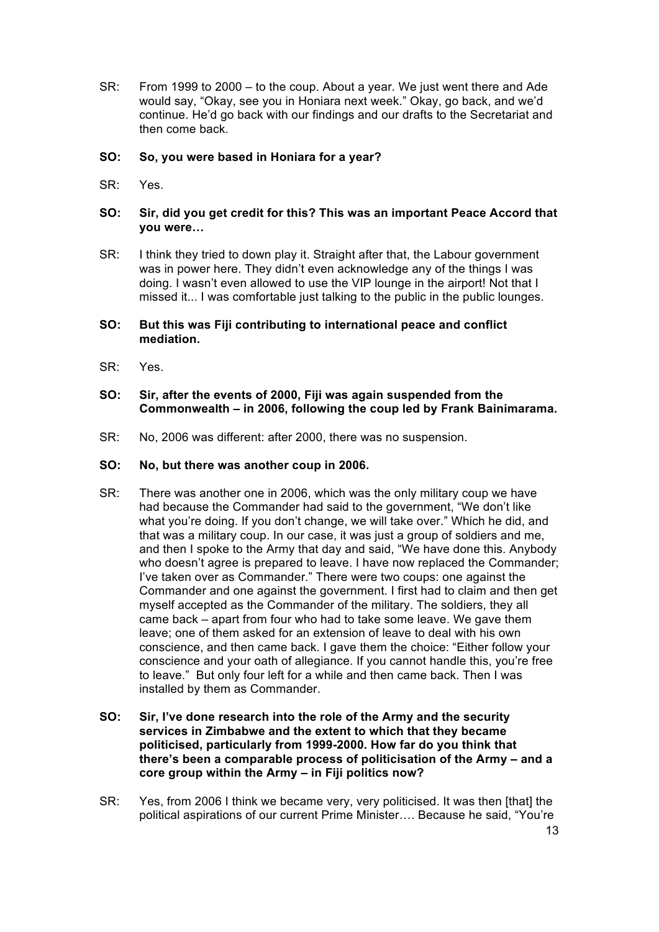SR: From 1999 to 2000 – to the coup. About a year. We just went there and Ade would say, "Okay, see you in Honiara next week." Okay, go back, and we'd continue. He'd go back with our findings and our drafts to the Secretariat and then come back.

# **SO: So, you were based in Honiara for a year?**

SR: Yes.

# **SO: Sir, did you get credit for this? This was an important Peace Accord that you were…**

SR: I think they tried to down play it. Straight after that, the Labour government was in power here. They didn't even acknowledge any of the things I was doing. I wasn't even allowed to use the VIP lounge in the airport! Not that I missed it... I was comfortable just talking to the public in the public lounges.

#### **SO: But this was Fiji contributing to international peace and conflict mediation.**

SR: Yes.

# **SO: Sir, after the events of 2000, Fiji was again suspended from the Commonwealth – in 2006, following the coup led by Frank Bainimarama.**

SR: No, 2006 was different: after 2000, there was no suspension.

#### **SO: No, but there was another coup in 2006.**

- SR: There was another one in 2006, which was the only military coup we have had because the Commander had said to the government, "We don't like what you're doing. If you don't change, we will take over." Which he did, and that was a military coup. In our case, it was just a group of soldiers and me, and then I spoke to the Army that day and said, "We have done this. Anybody who doesn't agree is prepared to leave. I have now replaced the Commander; I've taken over as Commander." There were two coups: one against the Commander and one against the government. I first had to claim and then get myself accepted as the Commander of the military. The soldiers, they all came back – apart from four who had to take some leave. We gave them leave; one of them asked for an extension of leave to deal with his own conscience, and then came back. I gave them the choice: "Either follow your conscience and your oath of allegiance. If you cannot handle this, you're free to leave." But only four left for a while and then came back. Then I was installed by them as Commander.
- **SO: Sir, I've done research into the role of the Army and the security services in Zimbabwe and the extent to which that they became politicised, particularly from 1999-2000. How far do you think that there's been a comparable process of politicisation of the Army – and a core group within the Army – in Fiji politics now?**
- SR: Yes, from 2006 I think we became very, very politicised. It was then [that] the political aspirations of our current Prime Minister…. Because he said, "You're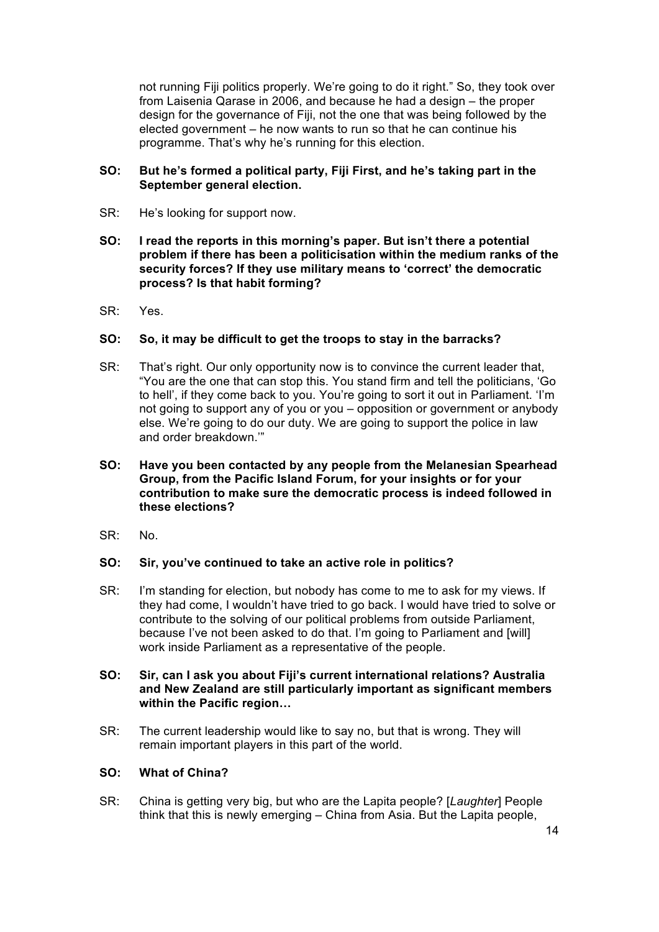not running Fiji politics properly. We're going to do it right." So, they took over from Laisenia Qarase in 2006, and because he had a design – the proper design for the governance of Fiji, not the one that was being followed by the elected government – he now wants to run so that he can continue his programme. That's why he's running for this election.

# **SO: But he's formed a political party, Fiji First, and he's taking part in the September general election.**

- SR: He's looking for support now.
- **SO: I read the reports in this morning's paper. But isn't there a potential problem if there has been a politicisation within the medium ranks of the security forces? If they use military means to 'correct' the democratic process? Is that habit forming?**
- SR: Yes.

# **SO: So, it may be difficult to get the troops to stay in the barracks?**

- SR: That's right. Our only opportunity now is to convince the current leader that, "You are the one that can stop this. You stand firm and tell the politicians, 'Go to hell', if they come back to you. You're going to sort it out in Parliament. 'I'm not going to support any of you or you – opposition or government or anybody else. We're going to do our duty. We are going to support the police in law and order breakdown.'"
- **SO: Have you been contacted by any people from the Melanesian Spearhead Group, from the Pacific Island Forum, for your insights or for your contribution to make sure the democratic process is indeed followed in these elections?**
- SR: No.

#### **SO: Sir, you've continued to take an active role in politics?**

- SR: I'm standing for election, but nobody has come to me to ask for my views. If they had come, I wouldn't have tried to go back. I would have tried to solve or contribute to the solving of our political problems from outside Parliament, because I've not been asked to do that. I'm going to Parliament and [will] work inside Parliament as a representative of the people.
- **SO: Sir, can I ask you about Fiji's current international relations? Australia and New Zealand are still particularly important as significant members within the Pacific region…**
- SR: The current leadership would like to say no, but that is wrong. They will remain important players in this part of the world.

# **SO: What of China?**

SR: China is getting very big, but who are the Lapita people? [*Laughter*] People think that this is newly emerging – China from Asia. But the Lapita people,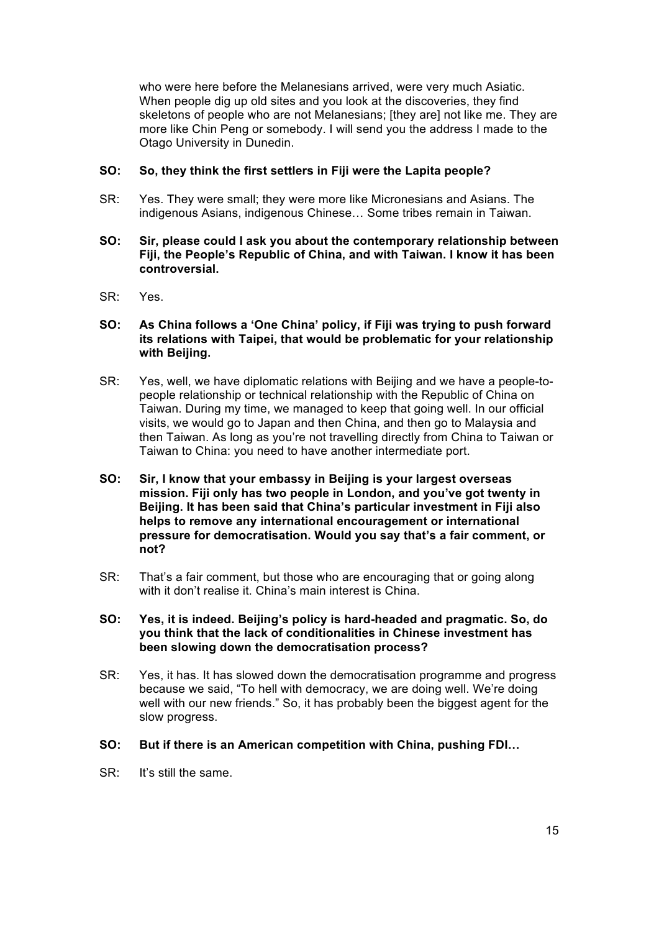who were here before the Melanesians arrived, were very much Asiatic. When people dig up old sites and you look at the discoveries, they find skeletons of people who are not Melanesians; [they are] not like me. They are more like Chin Peng or somebody. I will send you the address I made to the Otago University in Dunedin.

# **SO: So, they think the first settlers in Fiji were the Lapita people?**

- SR: Yes. They were small; they were more like Micronesians and Asians. The indigenous Asians, indigenous Chinese… Some tribes remain in Taiwan.
- **SO: Sir, please could I ask you about the contemporary relationship between Fiji, the People's Republic of China, and with Taiwan. I know it has been controversial.**
- SR: Yes.
- **SO: As China follows a 'One China' policy, if Fiji was trying to push forward its relations with Taipei, that would be problematic for your relationship with Beijing.**
- SR: Yes, well, we have diplomatic relations with Beijing and we have a people-topeople relationship or technical relationship with the Republic of China on Taiwan. During my time, we managed to keep that going well. In our official visits, we would go to Japan and then China, and then go to Malaysia and then Taiwan. As long as you're not travelling directly from China to Taiwan or Taiwan to China: you need to have another intermediate port.
- **SO: Sir, I know that your embassy in Beijing is your largest overseas mission. Fiji only has two people in London, and you've got twenty in Beijing. It has been said that China's particular investment in Fiji also helps to remove any international encouragement or international pressure for democratisation. Would you say that's a fair comment, or not?**
- SR: That's a fair comment, but those who are encouraging that or going along with it don't realise it. China's main interest is China.
- **SO: Yes, it is indeed. Beijing's policy is hard-headed and pragmatic. So, do you think that the lack of conditionalities in Chinese investment has been slowing down the democratisation process?**
- SR: Yes, it has. It has slowed down the democratisation programme and progress because we said, "To hell with democracy, we are doing well. We're doing well with our new friends." So, it has probably been the biggest agent for the slow progress.
- **SO: But if there is an American competition with China, pushing FDI…**
- SR: It's still the same.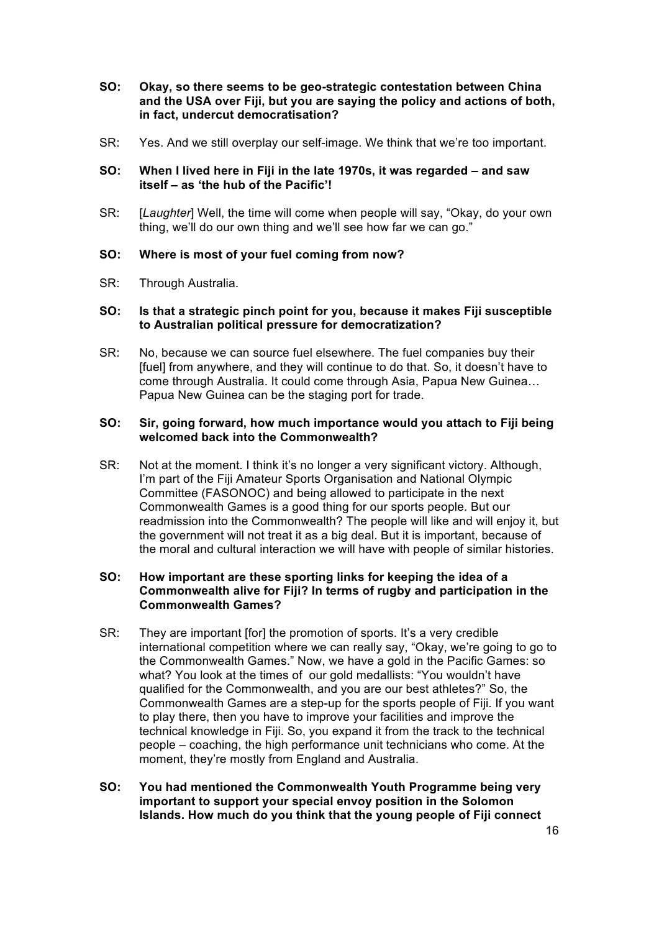- **SO: Okay, so there seems to be geo-strategic contestation between China and the USA over Fiji, but you are saying the policy and actions of both, in fact, undercut democratisation?**
- SR: Yes. And we still overplay our self-image. We think that we're too important.

# **SO: When I lived here in Fiji in the late 1970s, it was regarded – and saw itself – as 'the hub of the Pacific'!**

SR: [*Laughter*] Well, the time will come when people will say, "Okay, do your own thing, we'll do our own thing and we'll see how far we can go."

# **SO: Where is most of your fuel coming from now?**

SR: Through Australia.

#### **SO: Is that a strategic pinch point for you, because it makes Fiji susceptible to Australian political pressure for democratization?**

SR: No, because we can source fuel elsewhere. The fuel companies buy their [fuel] from anywhere, and they will continue to do that. So, it doesn't have to come through Australia. It could come through Asia, Papua New Guinea… Papua New Guinea can be the staging port for trade.

# **SO: Sir, going forward, how much importance would you attach to Fiji being welcomed back into the Commonwealth?**

SR: Not at the moment. I think it's no longer a very significant victory. Although, I'm part of the Fiji Amateur Sports Organisation and National Olympic Committee (FASONOC) and being allowed to participate in the next Commonwealth Games is a good thing for our sports people. But our readmission into the Commonwealth? The people will like and will enjoy it, but the government will not treat it as a big deal. But it is important, because of the moral and cultural interaction we will have with people of similar histories.

# **SO: How important are these sporting links for keeping the idea of a Commonwealth alive for Fiji? In terms of rugby and participation in the Commonwealth Games?**

- SR: They are important [for] the promotion of sports. It's a very credible international competition where we can really say, "Okay, we're going to go to the Commonwealth Games." Now, we have a gold in the Pacific Games: so what? You look at the times of our gold medallists: "You wouldn't have qualified for the Commonwealth, and you are our best athletes?" So, the Commonwealth Games are a step-up for the sports people of Fiji. If you want to play there, then you have to improve your facilities and improve the technical knowledge in Fiji. So, you expand it from the track to the technical people – coaching, the high performance unit technicians who come. At the moment, they're mostly from England and Australia.
- **SO: You had mentioned the Commonwealth Youth Programme being very important to support your special envoy position in the Solomon Islands. How much do you think that the young people of Fiji connect**